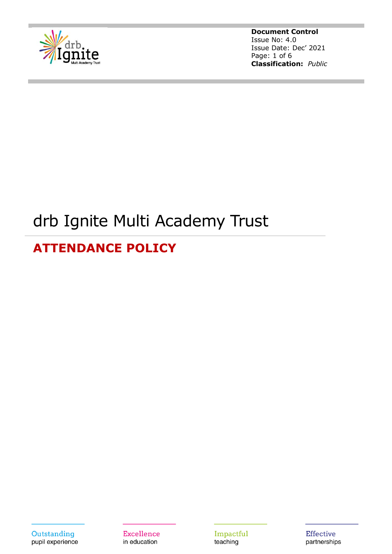

**Document Control** Issue No: 4.0 Issue Date: Dec' 2021 Page: 1 of 6 **Classification:** *Public*

# drb Ignite Multi Academy Trust

## **ATTENDANCE POLICY**

Outstanding pupil experience

**Excellence** in education

Impactful teaching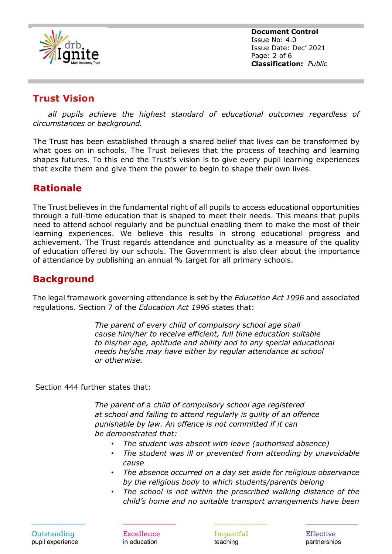

**Document Control** Issue No: 4.0 Issue Date: Dec' 2021 Page: 2 of 6 **Classification:** *Public*

#### **Trust Vision**

 *all pupils achieve the highest standard of educational outcomes regardless of circumstances or background.*

The Trust has been established through a shared belief that lives can be transformed by what goes on in schools. The Trust believes that the process of teaching and learning shapes futures. To this end the Trust's vision is to give every pupil learning experiences that excite them and give them the power to begin to shape their own lives.

#### **Rationale**

The Trust believes in the fundamental right of all pupils to access educational opportunities through a full-time education that is shaped to meet their needs. This means that pupils need to attend school regularly and be punctual enabling them to make the most of their learning experiences. We believe this results in strong educational progress and achievement. The Trust regards attendance and punctuality as a measure of the quality of education offered by our schools. The Government is also clear about the importance of attendance by publishing an annual % target for all primary schools.

#### **Background**

The legal framework governing attendance is set by the *Education Act 1996* and associated regulations. Section 7 of the *Education Act 1996* states that:

> *The parent of every child of compulsory school age shall cause him/her to receive efficient, full time education suitable to his/her age, aptitude and ability and to any special educational needs he/she may have either by regular attendance at school or otherwise.*

Section 444 further states that:

*The parent of a child of compulsory school age registered at school and failing to attend regularly is guilty of an offence punishable by law. An offence is not committed if it can be demonstrated that:*

- *The student was absent with leave (authorised absence)*
- *The student was ill or prevented from attending by unavoidable cause*
- *The absence occurred on a day set aside for religious observance by the religious body to which students/parents belong*
- *The school is not within the prescribed walking distance of the child's home and no suitable transport arrangements have been*

Outstanding pupil experience

Excellence in education

Impactful teaching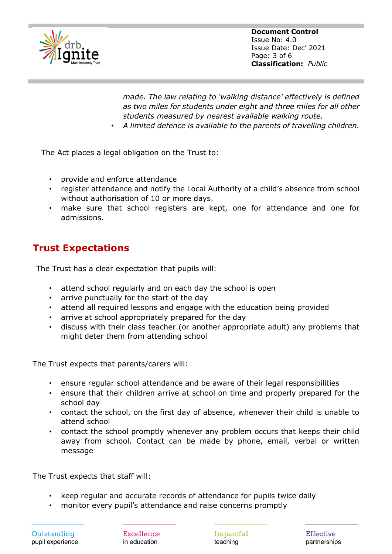

*made. The law relating to 'walking distance' effectively is defined as two miles for students under eight and three miles for all other students measured by nearest available walking route.*

• *A limited defence is available to the parents of travelling children.*

The Act places a legal obligation on the Trust to:

- provide and enforce attendance
- register attendance and notify the Local Authority of a child's absence from school without authorisation of 10 or more days.
- make sure that school registers are kept, one for attendance and one for admissions.

### **Trust Expectations**

The Trust has a clear expectation that pupils will:

- attend school regularly and on each day the school is open
- arrive punctually for the start of the day
- attend all required lessons and engage with the education being provided
- arrive at school appropriately prepared for the day
- discuss with their class teacher (or another appropriate adult) any problems that might deter them from attending school

The Trust expects that parents/carers will:

- ensure regular school attendance and be aware of their legal responsibilities
- ensure that their children arrive at school on time and properly prepared for the school day
- contact the school, on the first day of absence, whenever their child is unable to attend school
- contact the school promptly whenever any problem occurs that keeps their child away from school. Contact can be made by phone, email, verbal or written message

The Trust expects that staff will:

- keep regular and accurate records of attendance for pupils twice daily
- monitor every pupil's attendance and raise concerns promptly

Outstanding pupil experience

Excellence in education

Impactful teaching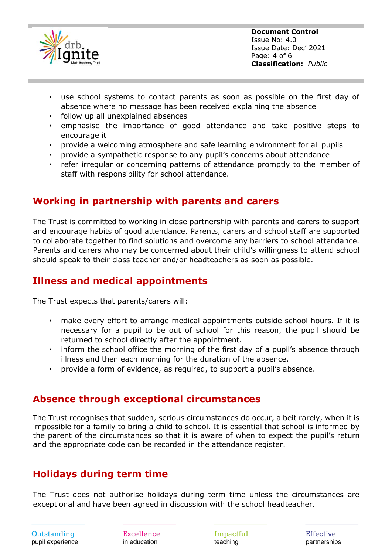

- use school systems to contact parents as soon as possible on the first day of absence where no message has been received explaining the absence
- follow up all unexplained absences
- emphasise the importance of good attendance and take positive steps to encourage it
- provide a welcoming atmosphere and safe learning environment for all pupils
- provide a sympathetic response to any pupil's concerns about attendance
- refer irregular or concerning patterns of attendance promptly to the member of staff with responsibility for school attendance.

#### **Working in partnership with parents and carers**

The Trust is committed to working in close partnership with parents and carers to support and encourage habits of good attendance. Parents, carers and school staff are supported to collaborate together to find solutions and overcome any barriers to school attendance. Parents and carers who may be concerned about their child's willingness to attend school should speak to their class teacher and/or headteachers as soon as possible.

#### **Illness and medical appointments**

The Trust expects that parents/carers will:

- make every effort to arrange medical appointments outside school hours. If it is necessary for a pupil to be out of school for this reason, the pupil should be returned to school directly after the appointment.
- inform the school office the morning of the first day of a pupil's absence through illness and then each morning for the duration of the absence.
- provide a form of evidence, as required, to support a pupil's absence.

#### **Absence through exceptional circumstances**

The Trust recognises that sudden, serious circumstances do occur, albeit rarely, when it is impossible for a family to bring a child to school. It is essential that school is informed by the parent of the circumstances so that it is aware of when to expect the pupil's return and the appropriate code can be recorded in the attendance register.

#### **Holidays during term time**

The Trust does not authorise holidays during term time unless the circumstances are exceptional and have been agreed in discussion with the school headteacher.

Excellence in education

Impactful teaching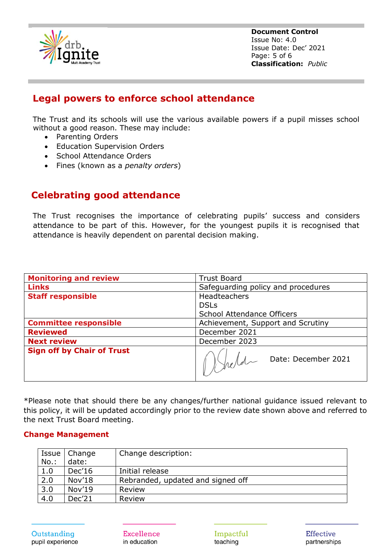

**Document Control** Issue No: 4.0 Issue Date: Dec' 2021 Page: 5 of 6 **Classification:** *Public*

#### **Legal powers to enforce school attendance**

The Trust and its schools will use the various available powers if a pupil misses school without a good reason. These may include:

- Parenting Orders
- Education Supervision Orders
- School Attendance Orders
- Fines (known as a *penalty orders*)

#### **Celebrating good attendance**

The Trust recognises the importance of celebrating pupils' success and considers attendance to be part of this. However, for the youngest pupils it is recognised that attendance is heavily dependent on parental decision making.

| <b>Monitoring and review</b>      | <b>Trust Board</b>                 |
|-----------------------------------|------------------------------------|
| <b>Links</b>                      | Safeguarding policy and procedures |
| <b>Staff responsible</b>          | <b>Headteachers</b>                |
|                                   | <b>DSLs</b>                        |
|                                   | <b>School Attendance Officers</b>  |
| <b>Committee responsible</b>      | Achievement, Support and Scrutiny  |
| <b>Reviewed</b>                   | December 2021                      |
| <b>Next review</b>                | December 2023                      |
| <b>Sign off by Chair of Trust</b> | Date: December 2021                |

\*Please note that should there be any changes/further national guidance issued relevant to this policy, it will be updated accordingly prior to the review date shown above and referred to the next Trust Board meeting.

#### **Change Management**

| $No.$ : | Issue   Change<br>date: | Change description:               |
|---------|-------------------------|-----------------------------------|
| 1.0     | Dec'16                  | Initial release                   |
| 2.0     | Nov'18                  | Rebranded, updated and signed off |
| 3.0     | Nov'19                  | Review                            |
| 4.0     | Dec'21                  | Review                            |

Outstanding pupil experience

**Excellence** in education

Impactful teaching